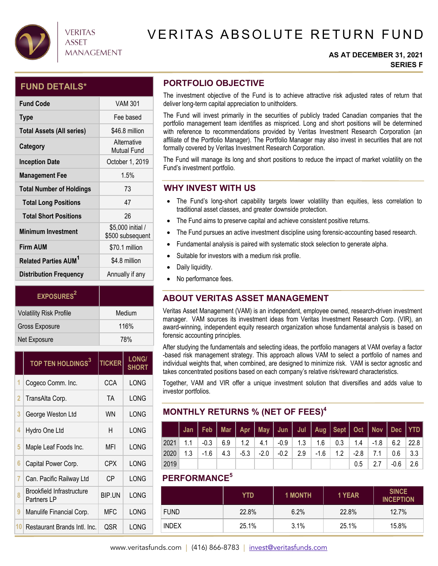

## **VERITAS ASSET MANAGEMENT**

# VERITAS ABSOLUTE RETURN FUND

#### **AS AT DECEMBER 31, 2021 SERIES F**

### **FUND DETAILS\***

| <b>Fund Code</b>                       | <b>VAM 301</b>                        |
|----------------------------------------|---------------------------------------|
| <b>Type</b>                            | Fee based                             |
| <b>Total Assets (All series)</b>       | \$46.8 million                        |
| Category                               | Alternative<br>Mutual Fund            |
| <b>Inception Date</b>                  | October 1, 2019                       |
| <b>Management Fee</b>                  | 1.5%                                  |
| <b>Total Number of Holdings</b>        | 73                                    |
| <b>Total Long Positions</b>            | 47                                    |
| <b>Total Short Positions</b>           | 26                                    |
| <b>Minimum Investment</b>              | \$5,000 initial /<br>\$500 subsequent |
| <b>Firm AUM</b>                        | \$70.1 million                        |
| <b>Related Parties AUM<sup>1</sup></b> | \$4.8 million                         |
| <b>Distribution Frequency</b>          | Annually if any                       |

| EXPOSURES <sup>2</sup>         |        |
|--------------------------------|--------|
| <b>Volatility Risk Profile</b> | Medium |
| Gross Exposure                 | 116%   |
| Net Exposure                   | 78%    |

|    | TOP TEN HOLDINGS <sup>3</sup>            | <b>TICKER</b> | <b>LONG/</b><br><b>SHORT</b> |
|----|------------------------------------------|---------------|------------------------------|
| 1  | Cogeco Comm. Inc.                        | CCA           | LONG                         |
| 2  | TransAlta Corp.                          | ТA            | LONG                         |
| 3  | George Weston Ltd                        | WN            | LONG                         |
| 4  | Hydro One Ltd                            | н             | LONG                         |
| 5  | Maple Leaf Foods Inc.                    | MFI           | LONG                         |
| 6  | Capital Power Corp.                      | <b>CPX</b>    | LONG                         |
| 7  | Can. Pacific Railway Ltd                 | СP            | LONG                         |
| 8  | Brookfield Infrastructure<br>Partners LP | BIP.UN        | LONG                         |
| 9  | Manulife Financial Corp.                 | <b>MFC</b>    | LONG                         |
| 10 | Restaurant Brands Intl. Inc.             | QSR           | LONG                         |

## **PORTFOLIO OBJECTIVE**

The investment objective of the Fund is to achieve attractive risk adjusted rates of return that deliver long-term capital appreciation to unitholders.

The Fund will invest primarily in the securities of publicly traded Canadian companies that the portfolio management team identifies as mispriced. Long and short positions will be determined with reference to recommendations provided by Veritas Investment Research Corporation (an affiliate of the Portfolio Manager). The Portfolio Manager may also invest in securities that are not formally covered by Veritas Investment Research Corporation.

The Fund will manage its long and short positions to reduce the impact of market volatility on the Fund's investment portfolio.

## **WHY INVEST WITH US**

- The Fund's long-short capability targets lower volatility than equities, less correlation to traditional asset classes, and greater downside protection.
- The Fund aims to preserve capital and achieve consistent positive returns.
- The Fund pursues an active investment discipline using forensic-accounting based research.
- Fundamental analysis is paired with systematic stock selection to generate alpha.
- Suitable for investors with a medium risk profile.
- Daily liquidity.
- No performance fees.

## **ABOUT VERITAS ASSET MANAGEMENT**

Veritas Asset Management (VAM) is an independent, employee owned, research-driven investment manager. VAM sources its investment ideas from Veritas Investment Research Corp. (VIR), an award-winning, independent equity research organization whose fundamental analysis is based on forensic accounting principles.

After studying the fundamentals and selecting ideas, the portfolio managers at VAM overlay a factor -based risk management strategy. This approach allows VAM to select a portfolio of names and individual weights that, when combined, are designed to minimize risk. VAM is sector agnostic and takes concentrated positions based on each company's relative risk/reward characteristics.

Together, VAM and VIR offer a unique investment solution that diversifies and adds value to investor portfolios.

## **MONTHLY RETURNS % (NET OF FEES)4**

|      |     |        |                         |  |                                               | Jan   Feb   Mar   Apr   May   Jun   Jul   Aug   Sept   Oct   Nov   Dec   YTD    |        |        |             |     |
|------|-----|--------|-------------------------|--|-----------------------------------------------|---------------------------------------------------------------------------------|--------|--------|-------------|-----|
| 2021 |     |        |                         |  |                                               | 1.1 $-0.3$   6.9   1.2   4.1   -0.9   1.3   1.6   0.3   1.4   -1.8   6.2   22.8 |        |        |             |     |
| 2020 | 1.3 | -1.6 - | $4.3$   $-5.3$   $-2.0$ |  | $\vert$ -0.2 $\vert$ 2.9 $\vert$ -1.6 $\vert$ | 1.2                                                                             | $-2.8$ | $-7.1$ | $0.6$   3.3 |     |
| 2019 |     |        |                         |  |                                               |                                                                                 | $0.5$  | 2.7    | $-0.6$      | 2.6 |

### **PERFORMANCE5**

|              | YTD   | <b>1 MONTH</b> | 1 YEAR | <b>SINCE</b><br><b>INCEPTION</b> |
|--------------|-------|----------------|--------|----------------------------------|
| <b>FUND</b>  | 22.8% | 6.2%           | 22.8%  | 12.7%                            |
| <b>INDEX</b> | 25.1% | 3.1%           | 25.1%  | 15.8%                            |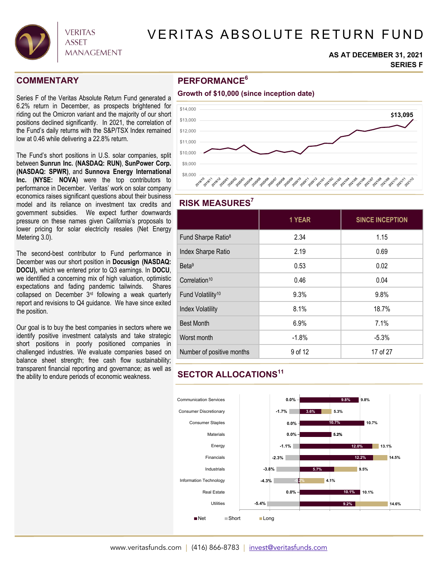

# VERITAS ABSOLUTE RETURN FUND

#### **AS AT DECEMBER 31, 2021 SERIES F**

### **COMMENTARY**

Series F of the Veritas Absolute Return Fund generated a 6.2% return in December, as prospects brightened for riding out the Omicron variant and the majority of our short positions declined significantly. In 2021, the correlation of the Fund's daily returns with the S&P/TSX Index remained low at 0.46 while delivering a 22.8% return.

The Fund's short positions in U.S. solar companies, split between **Sunrun Inc. (NASDAQ: RUN)**, **SunPower Corp. (NASDAQ: SPWR)**, and **Sunnova Energy International Inc. (NYSE: NOVA)** were the top contributors to performance in December. Veritas' work on solar company economics raises significant questions about their business model and its reliance on investment tax credits and government subsidies. We expect further downwards pressure on these names given California's proposals to lower pricing for solar electricity resales (Net Energy Metering 3.0).

The second-best contributor to Fund performance in December was our short position in **Docusign (NASDAQ: DOCU),** which we entered prior to Q3 earnings. In **DOCU**, we identified a concerning mix of high valuation, optimistic expectations and fading pandemic tailwinds. Shares collapsed on December 3<sup>rd</sup> following a weak quarterly report and revisions to Q4 guidance. We have since exited the position.

Our goal is to buy the best companies in sectors where we identify positive investment catalysts and take strategic short positions in poorly positioned companies in challenged industries. We evaluate companies based on balance sheet strength; free cash flow sustainability; transparent financial reporting and governance; as well as the ability to endure periods of economic weakness.

### **PERFORMANCE6**



### **RISK MEASURES7**

|                                | 1 YEAR  | <b>SINCE INCEPTION</b> |
|--------------------------------|---------|------------------------|
| Fund Sharpe Ratio <sup>8</sup> | 2.34    | 1.15                   |
| Index Sharpe Ratio             | 2.19    | 0.69                   |
| Beta <sup>9</sup>              | 0.53    | 0.02                   |
| Correlation <sup>10</sup>      | 0.46    | 0.04                   |
| Fund Volatility <sup>10</sup>  | 9.3%    | 9.8%                   |
| <b>Index Volatility</b>        | 8.1%    | 18.7%                  |
| <b>Best Month</b>              | 6.9%    | 7.1%                   |
| Worst month                    | $-1.8%$ | $-5.3%$                |
| Number of positive months      | 9 of 12 | 17 of 27               |

## **SECTOR ALLOCATIONS11**